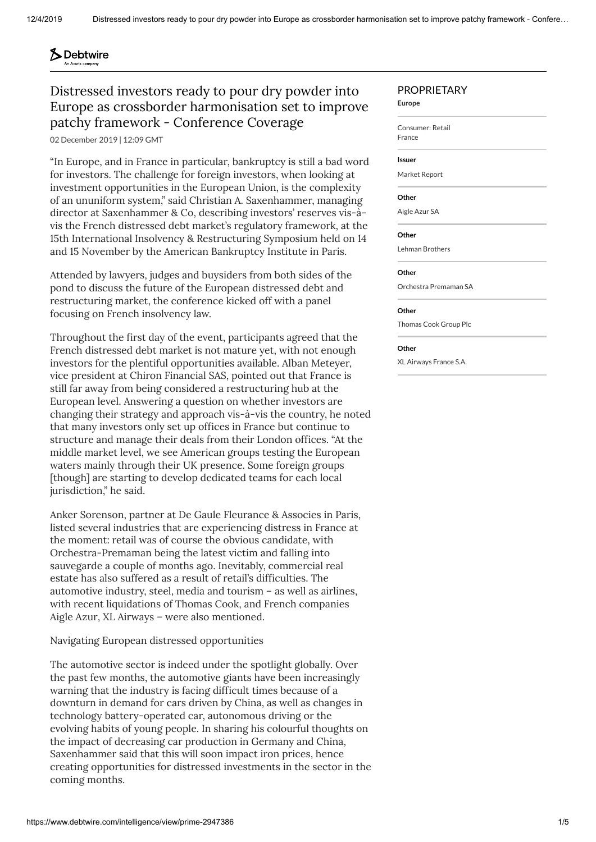#### **S** Debtwire **An Acuris come**

# Distressed investors ready to pour dry powder into Europe as crossborder harmonisation set to improve patchy framework - Conference Coverage

02 December 2019 | 12:09 GMT

"In Europe, and in France in particular, bankruptcy is still a bad word for investors. The challenge for foreign investors, when looking at investment opportunities in the European Union, is the complexity of an ununiform system," said Christian A. Saxenhammer, managing director at Saxenhammer & Co, describing investors' reserves vis-àvis the French distressed debt market's regulatory framework, at the 15th International Insolvency & Restructuring Symposium held on 14 and 15 November by the American Bankruptcy Institute in Paris.

Attended by lawyers, judges and buysiders from both sides of the pond to discuss the future of the European distressed debt and restructuring market, the conference kicked off with a panel focusing on French insolvency law.

Throughout the first day of the event, participants agreed that the French distressed debt market is not mature yet, with not enough investors for the plentiful opportunities available. Alban Meteyer, vice president at Chiron Financial SAS, pointed out that France is still far away from being considered a restructuring hub at the European level. Answering a question on whether investors are changing their strategy and approach vis-à-vis the country, he noted that many investors only set up offices in France but continue to structure and manage their deals from their London offices. "At the middle market level, we see American groups testing the European waters mainly through their UK presence. Some foreign groups [though] are starting to develop dedicated teams for each local jurisdiction," he said.

Anker Sorenson, partner at De Gaule Fleurance & Associes in Paris, listed several industries that are experiencing distress in France at the moment: retail was of course the obvious candidate, with [Orchestra-Premaman](http://www.debtwire.com/intelligence/view/prime-2925672) being the latest victim and falling into sauvegarde a couple of months ago. Inevitably, commercial real estate has also suffered as a result of retail's difficulties. The automotive industry, steel, media and tourism – as well as airlines, with recent liquidations of [Thomas](http://www.debtwire.com/intelligence/view/prime-2946393?searchTerm=thomas%20cook) Cook, and French companies [Aigle](http://www.debtwire.com/intelligence/view/prime-2911655?searchTerm=aigle%20azur) Azur, XL [Airways](http://www.debtwire.com/intelligence/view/prime-2914819?searchTerm=aigle%20azur) – were also mentioned.

Navigating European distressed opportunities

The automotive sector is indeed under the spotlight globally. Over the past few months, the automotive giants have been increasingly warning that the industry is facing difficult times because of a downturn in demand for cars driven by China, as well as changes in technology battery-operated car, autonomous driving or the evolving habits of young people. In sharing his colourful thoughts on the impact of decreasing car production in Germany and China, Saxenhammer said that this will soon impact iron prices, hence creating opportunities for distressed investments in the sector in the coming months.

# PROPRIETARY

**Europe**

[Consumer:](https://www.debtwire.com/search?filters=%26sectors%3Dprime-consumerretail) Retail

[France](https://www.debtwire.com/search?filters=%26dominantCountry%3Dprime-FRA)

## **Issuer**

[Market](https://www.debtwire.com/companies/view/prime-341964) Report

### **Other**

[Aigle](https://www.debtwire.com/companies/view/prime-68570) Azur SA

### **Other**

Lehman [Brothers](https://www.debtwire.com/companies/view/prime-226)

#### **Other**

Orchestra [Premaman](https://www.debtwire.com/companies/view/prime-24227) SA

#### **Other**

[Thomas](https://www.debtwire.com/companies/view/prime-2354) Cook Group Plc

#### **Other**

XL [Airways](https://www.debtwire.com/companies/view/prime-393152) France S.A.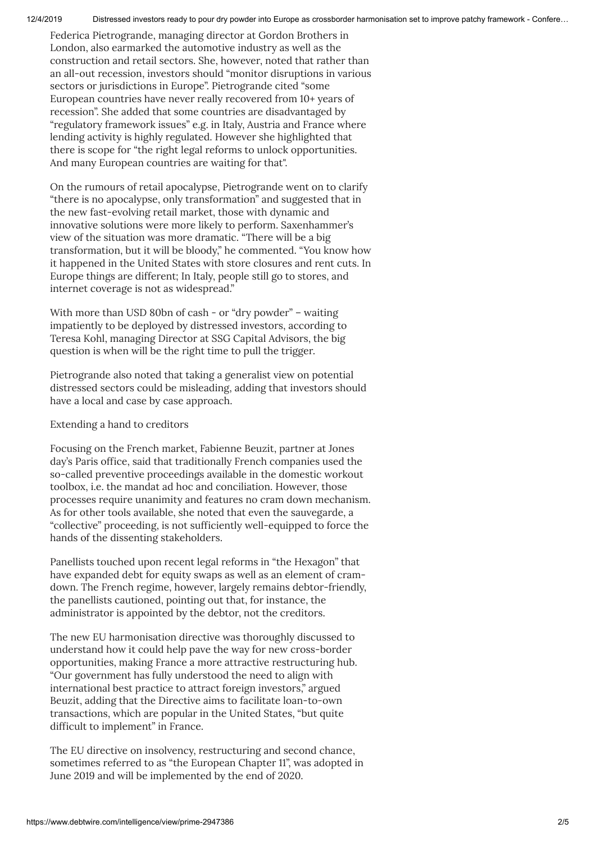12/4/2019 Distressed investors ready to pour dry powder into Europe as crossborder harmonisation set to improve patchy framework - Confere…

Federica Pietrogrande, managing director at Gordon Brothers in London, also earmarked the automotive industry as well as the construction and retail sectors. She, however, noted that rather than an all-out recession, investors should "monitor disruptions in various sectors or jurisdictions in Europe". Pietrogrande cited "some European countries have never really recovered from 10+ years of recession". She added that some countries are disadvantaged by "regulatory framework issues" e.g. in Italy, Austria and France where lending activity is highly regulated. However she highlighted that there is scope for "the right legal reforms to unlock opportunities. And many European countries are waiting for that".

On the rumours of retail apocalypse, Pietrogrande went on to clarify "there is no apocalypse, only transformation" and suggested that in the new fast-evolving retail market, those with dynamic and innovative solutions were more likely to perform. Saxenhammer's view of the situation was more dramatic. "There will be a big transformation, but it will be bloody," he commented. "You know how it happened in the United States with store closures and rent cuts. In Europe things are different; In Italy, people still go to stores, and internet coverage is not as widespread."

With more than USD 80bn of cash - or "dry powder" – waiting impatiently to be deployed by distressed investors, according to Teresa Kohl, managing Director at SSG Capital Advisors, the big question is when will be the right time to pull the trigger.

Pietrogrande also noted that taking a generalist view on potential distressed sectors could be misleading, adding that investors should have a local and case by case approach.

Extending a hand to creditors

Focusing on the French market, Fabienne Beuzit, partner at Jones day's Paris office, said that traditionally French companies used the so-called preventive proceedings available in the domestic workout toolbox, i.e. the mandat ad hoc and conciliation. However, those processes require unanimity and features no cram down mechanism. As for other tools available, she noted that even the sauvegarde, a "collective" proceeding, is not sufficiently well-equipped to force the hands of the dissenting stakeholders.

Panellists touched upon recent legal reforms in "the Hexagon" that have expanded debt for equity swaps as well as an element of cramdown. The French regime, however, largely remains debtor-friendly, the panellists cautioned, pointing out that, for instance, the administrator is appointed by the debtor, not the creditors.

The new EU harmonisation directive was thoroughly discussed to understand how it could help pave the way for new cross-border opportunities, making France a more attractive restructuring hub. "Our government has fully understood the need to align with international best practice to attract foreign investors," argued Beuzit, adding that the Directive aims to facilitate loan-to-own transactions, which are popular in the United States, "but quite difficult to implement" in France.

The EU directive on insolvency, restructuring and second chance, sometimes referred to as "the European Chapter 11", was adopted in June 2019 and will be implemented by the end of 2020.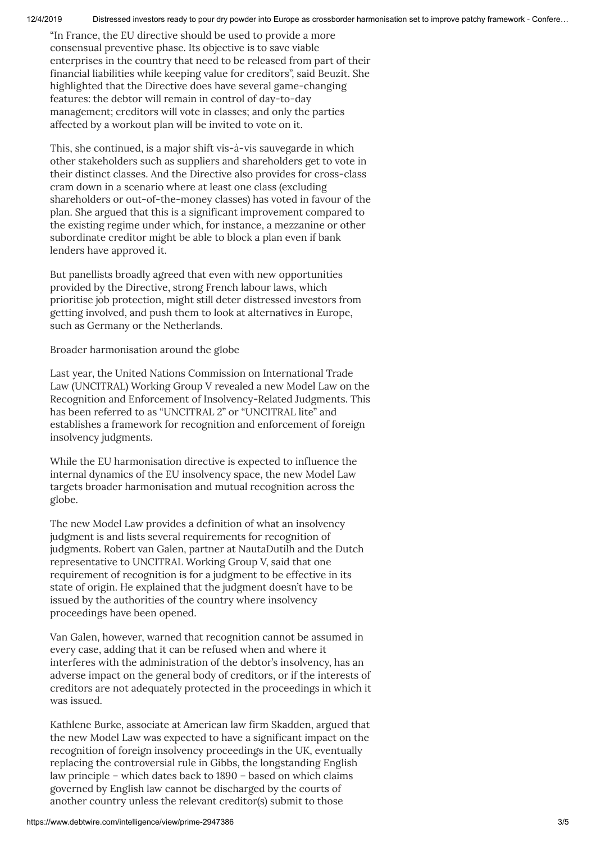12/4/2019 Distressed investors ready to pour dry powder into Europe as crossborder harmonisation set to improve patchy framework - Confere…

"In France, the EU directive should be used to provide a more consensual preventive phase. Its objective is to save viable enterprises in the country that need to be released from part of their financial liabilities while keeping value for creditors", said Beuzit. She highlighted that the Directive does have several game-changing features: the debtor will remain in control of day-to-day management; creditors will vote in classes; and only the parties affected by a workout plan will be invited to vote on it.

This, she continued, is a major shift vis-à-vis sauvegarde in which other stakeholders such as suppliers and shareholders get to vote in their distinct classes. And the Directive also provides for cross-class cram down in a scenario where at least one class (excluding shareholders or out-of-the-money classes) has voted in favour of the plan. She argued that this is a significant improvement compared to the existing regime under which, for instance, a mezzanine or other subordinate creditor might be able to block a plan even if bank lenders have approved it.

But panellists broadly agreed that even with new opportunities provided by the Directive, strong French labour laws, which prioritise job protection, might still deter distressed investors from getting involved, and push them to look at alternatives in Europe, such as Germany or the Netherlands.

Broader harmonisation around the globe

Last year, the United Nations Commission on International Trade Law (UNCITRAL) Working Group V revealed a new Model Law on the Recognition and Enforcement of Insolvency-Related Judgments. This has been referred to as "UNCITRAL 2" or "UNCITRAL lite" and establishes a framework for recognition and enforcement of foreign insolvency judgments.

While the EU harmonisation directive is expected to influence the internal dynamics of the EU insolvency space, the new Model Law targets broader harmonisation and mutual recognition across the globe.

The new Model Law provides a definition of what an insolvency judgment is and lists several requirements for recognition of judgments. Robert van Galen, partner at NautaDutilh and the Dutch representative to UNCITRAL Working Group V, said that one requirement of recognition is for a judgment to be effective in its state of origin. He explained that the judgment doesn't have to be issued by the authorities of the country where insolvency proceedings have been opened.

Van Galen, however, warned that recognition cannot be assumed in every case, adding that it can be refused when and where it interferes with the administration of the debtor's insolvency, has an adverse impact on the general body of creditors, or if the interests of creditors are not adequately protected in the proceedings in which it was issued.

Kathlene Burke, associate at American law firm Skadden, argued that the new Model Law was expected to have a significant impact on the recognition of foreign insolvency proceedings in the UK, eventually replacing the controversial rule in Gibbs, the longstanding English law principle – which dates back to 1890 – based on which claims governed by English law cannot be discharged by the courts of another country unless the relevant creditor(s) submit to those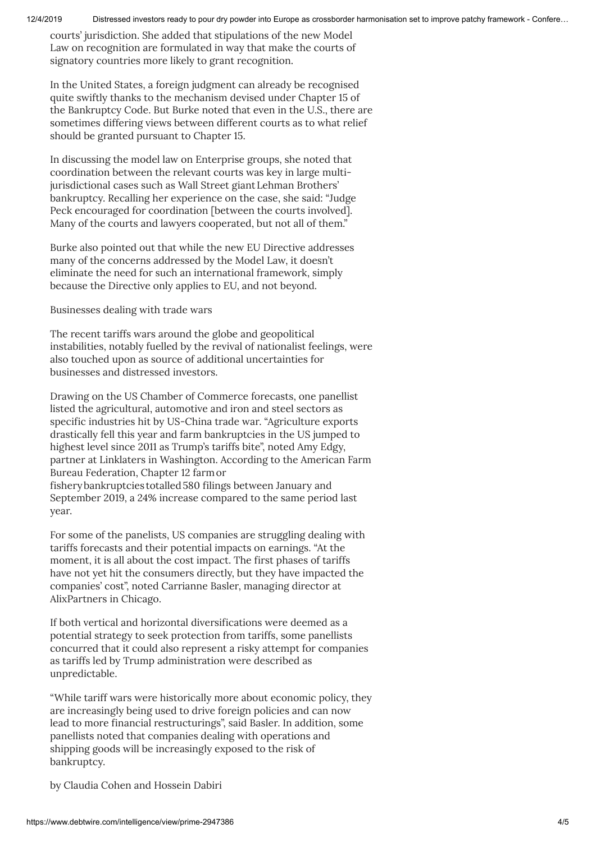12/4/2019 Distressed investors ready to pour dry powder into Europe as crossborder harmonisation set to improve patchy framework - Confere…

courts' jurisdiction. She added that stipulations of the new Model Law on recognition are formulated in way that make the courts of signatory countries more likely to grant recognition.

In the United States, a foreign judgment can already be recognised quite swiftly thanks to the mechanism devised under Chapter 15 of the Bankruptcy Code. But Burke noted that even in the U.S., there are sometimes differing views between different courts as to what relief should be granted pursuant to Chapter 15.

In discussing the model law on Enterprise groups, she noted that coordination between the relevant courts was key in large multijurisdictional cases such as Wall Street giant Lehman Brothers' bankruptcy. Recalling her experience on the case, she said: "Judge Peck encouraged for coordination [between the courts involved]. Many of the courts and lawyers cooperated, but not all of them."

Burke also pointed out that while the new EU Directive addresses many of the concerns addressed by the Model Law, it doesn't eliminate the need for such an international framework, simply because the Directive only applies to EU, and not beyond.

Businesses dealing with trade wars

The recent tariffs wars around the globe and geopolitical instabilities, notably fuelled by the revival of nationalist feelings, were also touched upon as source of additional uncertainties for businesses and distressed investors.

Drawing on the US Chamber of Commerce forecasts, one panellist listed the agricultural, automotive and iron and steel sectors as specific industries hit by US-China trade war. "Agriculture exports drastically fell this year and farm bankruptcies in the US jumped to highest level since 2011 as Trump's tariffs bite", noted Amy Edgy, partner at Linklaters in Washington. According to the American Farm Bureau Federation, Chapter 12 farmor fisherybankruptcies totalled580 filings between January and September 2019, a 24% increase compared to the same period last year.

For some of the panelists, US companies are struggling dealing with tariffs forecasts and their potential impacts on earnings. "At the moment, it is all about the cost impact. The first phases of tariffs have not yet hit the consumers directly, but they have impacted the companies' cost", noted Carrianne Basler, managing director at AlixPartners in Chicago.

If both vertical and horizontal diversifications were deemed as a potential strategy to seek protection from tariffs, some panellists concurred that it could also represent a risky attempt for companies as tariffs led by Trump administration were described as unpredictable.

"While tariff wars were historically more about economic policy, they are increasingly being used to drive foreign policies and can now lead to more financial restructurings", said Basler. In addition, some panellists noted that companies dealing with operations and shipping goods will be increasingly exposed to the risk of bankruptcy.

by [Claudia](mailto:claudia.cohen@acuris.com) Cohen and [Hossein](mailto:hossein.dabiri@acuris.com) Dabiri